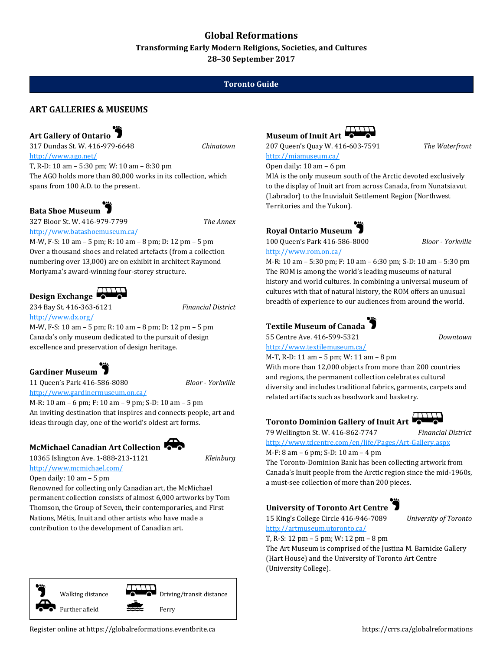## **Global Reformations**

**Transforming Early Modern Religions, Societies, and Cultures 28–30 September 2017**

### **Toronto Guide**

### **ART GALLERIES & MUSEUMS**

# **Art Gallery of Ontario**

317 Dundas St. W. 416-979-6648 *Chinatown* <http://www.ago.net/>

T, R-D: 10 am – 5:30 pm; W: 10 am – 8:30 pm The AGO holds more than 80,000 works in its collection, which spans from 100 A.D. to the present.

### **Bata Shoe Museum**

327 Bloor St. W. 416-979-7799 *The Annex* <http://www.batashoemuseum.ca/>

M-W, F-S: 10 am – 5 pm; R: 10 am – 8 pm; D: 12 pm – 5 pm Over a thousand shoes and related artefacts (from a collection numbering over 13,000) are on exhibit in architect Raymond Moriyama's award-winning four-storey structure.

## Design Exchange

234 Bay St. 416-363-6121 *Financial District*

<http://www.dx.org/>

M-W, F-S: 10 am – 5 pm; R: 10 am – 8 pm; D: 12 pm – 5 pm Canada's only museum dedicated to the pursuit of design excellence and preservation of design heritage.

**Gardiner Museum**

11 Queen's Park 416-586-8080 *Bloor - Yorkville*

<http://www.gardinermuseum.on.ca/>

M-R: 10 am – 6 pm; F: 10 am – 9 pm; S-D: 10 am – 5 pm An inviting destination that inspires and connects people, art and ideas through clay, one of the world's oldest art forms.

## **McMichael Canadian Art Collection**

10365 Islington Ave. 1-888-213-1121 *Kleinburg* <http://www.mcmichael.com/>

Open daily: 10 am – 5 pm

Renowned for collecting only Canadian art, the McMichael permanent collection consists of almost 6,000 artworks by Tom Thomson, the Group of Seven, their contemporaries, and First Nations, Métis, Inuit and other artists who have made a contribution to the development of Canadian art.

Walking distance  $\bullet$   $\bullet$  Driving/transit distance



207 Queen's Quay W. 416-603-7591 *The Waterfront* <http://miamuseum.ca/> Open daily: 10 am – 6 pm

MIA is the only museum south of the Arctic devoted exclusively to the display of Inuit art from across Canada, from Nunatsiavut (Labrador) to the Inuvialuit Settlement Region (Northwest Territories and the Yukon).

# **Royal Ontario Museum**



M-R: 10 am – 5:30 pm; F: 10 am – 6:30 pm; S-D: 10 am – 5:30 pm The ROM is among the world's leading museums of natural history and world cultures. In combining a universal museum of cultures with that of natural history, the ROM offers an unusual breadth of experience to our audiences from around the world.

# **Textile Museum of Canada**

55 Centre Ave. 416-599-5321 *Downtown* <http://www.textilemuseum.ca/>

M-T, R-D: 11 am – 5 pm; W: 11 am – 8 pm With more than 12,000 objects from more than 200 countries and regions, the permanent collection celebrates cultural diversity and includes traditional fabrics, garments, carpets and related artifacts such as beadwork and basketry.

## **Toronto Dominion Gallery of Inuit Art**

79 Wellington St. W. 416-862-7747 *Financial District* <http://www.tdcentre.com/en/life/Pages/Art-Gallery.aspx>

M-F: 8 am – 6 pm; S-D: 10 am – 4 pm

The Toronto-Dominion Bank has been collecting artwork from Canada's Inuit people from the Arctic region since the mid-1960s, a must-see collection of more than 200 pieces.

## **University of Toronto Art Centre**



15 King's College Circle 416-946-7089 *University of Toronto*

<http://artmuseum.utoronto.ca/>

T, R-S: 12 pm – 5 pm; W: 12 pm – 8 pm The Art Museum is comprised of the Justina M. Barnicke Gallery (Hart House) and the University of Toronto Art Centre (University College).

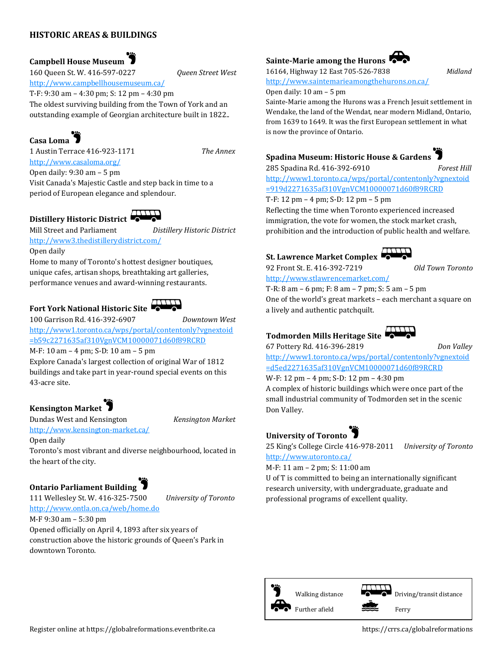### **HISTORIC AREAS & BUILDINGS**

**Campbell House Museum** 

160 Queen St. W. 416-597-0227 *Queen Street West*

<http://www.campbellhousemuseum.ca/>

T-F: 9:30 am – 4:30 pm; S: 12 pm – 4:30 pm The oldest surviving building from the Town of York and an outstanding example of Georgian architecture built in 1822..

## **Casa Loma**

1 Austin Terrace 416-923-1171 *The Annex* <http://www.casaloma.org/>

Open daily: 9:30 am – 5 pm Visit Canada's Majestic Castle and step back in time to a

period of European elegance and splendour.

# **Distillery Historic District**

Mill Street and Parliament *Distillery Historic District* <http://www3.thedistillerydistrict.com/>

#### Open daily

Home to many of Toronto's hottest designer boutiques, unique cafes, artisan shops, breathtaking art galleries, performance venues and award-winning restaurants.

# **Fort York National Historic Site**



100 Garrison Rd. 416-392-6907 *Downtown West*

[http://www1.toronto.ca/wps/portal/contentonly?vgnextoid](http://www1.toronto.ca/wps/portal/contentonly?vgnextoid=b59c2271635af310VgnVCM10000071d60f89RCRD) [=b59c2271635af310VgnVCM10000071d60f89RCRD](http://www1.toronto.ca/wps/portal/contentonly?vgnextoid=b59c2271635af310VgnVCM10000071d60f89RCRD)

M-F: 10 am – 4 pm; S-D: 10 am – 5 pm

Explore Canada's largest collection of original War of 1812 buildings and take part in year-round special events on this 43-acre site.

## **Kensington Market**

Dundas West and Kensington *Kensington Market* <http://www.kensington-market.ca/>

Open daily

Toronto's most vibrant and diverse neighbourhood, located in the heart of the city.

## **Ontario Parliament Building**

111 Wellesley St. W. 416-325-7500 *University of Toronto* <http://www.ontla.on.ca/web/home.do> M-F 9:30 am – 5:30 pm

Opened officially on April 4, 1893 after six years of construction above the historic grounds of Queen's Park in downtown Toronto.

#### **Sainte-Marie among the Hurons**



<http://www.saintemarieamongthehurons.on.ca/>



Sainte-Marie among the Hurons was a French Jesuit settlement in Wendake, the land of the Wendat, near modern Midland, Ontario, from 1639 to 1649. It was the first European settlement in what is now the province of Ontario.

### **Spadina Museum: Historic House & Gardens**



285 Spadina Rd. 416-392-6910 *Forest Hill* [http://www1.toronto.ca/wps/portal/contentonly?vgnextoid](http://www1.toronto.ca/wps/portal/contentonly?vgnextoid=919d2271635af310VgnVCM10000071d60f89RCRD) [=919d2271635af310VgnVCM10000071d60f89RCRD](http://www1.toronto.ca/wps/portal/contentonly?vgnextoid=919d2271635af310VgnVCM10000071d60f89RCRD)

T-F: 12 pm – 4 pm; S-D: 12 pm – 5 pm Reflecting the time when Toronto experienced increased immigration, the vote for women, the stock market crash, prohibition and the introduction of public health and welfare.

## **St. Lawrence Market Complex**



92 Front St. E. 416-392-7219 *Old Town Toronto*

<http://www.stlawrencemarket.com/> T-R: 8 am – 6 pm; F: 8 am – 7 pm; S: 5 am – 5 pm One of the world's great markets – each merchant a square on a lively and authentic patchquilt.

# **Todmorden Mills Heritage Site**



67 Pottery Rd. 416-396-2819 *Don Valley*

[http://www1.toronto.ca/wps/portal/contentonly?vgnextoid](http://www1.toronto.ca/wps/portal/contentonly?vgnextoid=d5ed2271635af310VgnVCM10000071d60f89RCRD) [=d5ed2271635af310VgnVCM10000071d60f89RCRD](http://www1.toronto.ca/wps/portal/contentonly?vgnextoid=d5ed2271635af310VgnVCM10000071d60f89RCRD)

W-F: 12 pm – 4 pm; S-D: 12 pm – 4:30 pm A complex of historic buildings which were once part of the small industrial community of Todmorden set in the scenic Don Valley.

# **University of Toronto**

25 King's College Circle 416-978-2011 *University of Toronto* <http://www.utoronto.ca/>

M-F: 11 am – 2 pm; S: 11:00 am

U of T is committed to being an internationally significant research university, with undergraduate, graduate and professional programs of excellent quality.

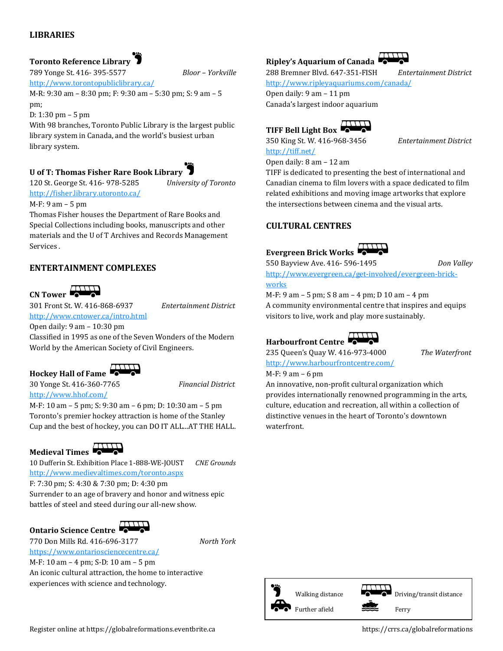### **LIBRARIES**

### **Toronto Reference Library**

789 Yonge St. 416- 395-5577 *Bloor – Yorkville*

<http://www.torontopubliclibrary.ca/>

M-R: 9:30 am – 8:30 pm; F: 9:30 am – 5:30 pm; S: 9 am – 5 pm;

D: 1:30 pm – 5 pm

With 98 branches, Toronto Public Library is the largest public library system in Canada, and the world's busiest urban library system.

### **U of T: Thomas Fisher Rare Book Library**



120 St. George St. 416- 978-5285 *University of Toronto* <http://fisher.library.utoronto.ca/>

#### M-F: 9 am – 5 pm

Thomas Fisher houses the Department of Rare Books and Special Collections including books, manuscripts and other materials and the U of T Archives and Records Management Services .

#### **ENTERTAINMENT COMPLEXES**

# **CN Tower**

301 Front St. W. 416-868-6937 *Entertainment District*

<http://www.cntower.ca/intro.html>

Open daily: 9 am – 10:30 pm Classified in 1995 as one of the Seven Wonders of the Modern World by the American Society of Civil Engineers.

**Hockey Hall of Fame**

<http://www.hhof.com/>

30 Yonge St. 416-360-7765 *Financial District*

M-F: 10 am – 5 pm; S: 9:30 am – 6 pm; D: 10:30 am – 5 pm Toronto's premier hockey attraction is home of the Stanley Cup and the best of hockey, you can DO IT ALL...AT THE HALL.

# **Medieval Times**

10 Dufferin St. Exhibition Place 1-888-WE-JOUST *CNE Grounds* <http://www.medievaltimes.com/toronto.aspx> F: 7:30 pm; S: 4:30 & 7:30 pm; D: 4:30 pm Surrender to an age of bravery and honor and witness epic battles of steel and steed during our all-new show.

## **Ontario Science Centre**

770 Don Mills Rd. 416-696-3177 *North York* <https://www.ontariosciencecentre.ca/>

M-F: 10 am – 4 pm; S-D: 10 am – 5 pm An iconic cultural attraction, the home to interactive experiences with science and technology.

<http://www.ripleyaquariums.com/canada/>

Open daily: 9 am – 11 pm Canada's largest indoor aquarium

**Ripley's Aquarium of Canada** 



350 King St. W. 416-968-3456 *Entertainment District* <http://tiff.net/>

Open daily: 8 am – 12 am

TIFF is dedicated to presenting the best of international and Canadian cinema to film lovers with a space dedicated to film related exhibitions and moving image artworks that explore the intersections between cinema and the visual arts.

#### **CULTURAL CENTRES**



550 Bayview Ave. 416- 596-1495 *Don Valley*

[http://www.evergreen.ca/get-involved/evergreen-brick](http://www.evergreen.ca/get-involved/evergreen-brick-works)[works](http://www.evergreen.ca/get-involved/evergreen-brick-works)

M-F: 9 am – 5 pm; S 8 am – 4 pm; D 10 am – 4 pm A community environmental centre that inspires and equips visitors to live, work and play more sustainably.

## **Harbourfront Centre**

235 Queen's Quay W. 416-973-4000 *The Waterfront* <http://www.harbourfrontcentre.com/>

M-F: 9 am – 6 pm

An innovative, non-profit cultural organization which provides internationally renowned programming in the arts, culture, education and recreation, all within a collection of distinctive venues in the heart of Toronto's downtown waterfront.



288 Bremner Blvd. 647-351-FISH *Entertainment District*